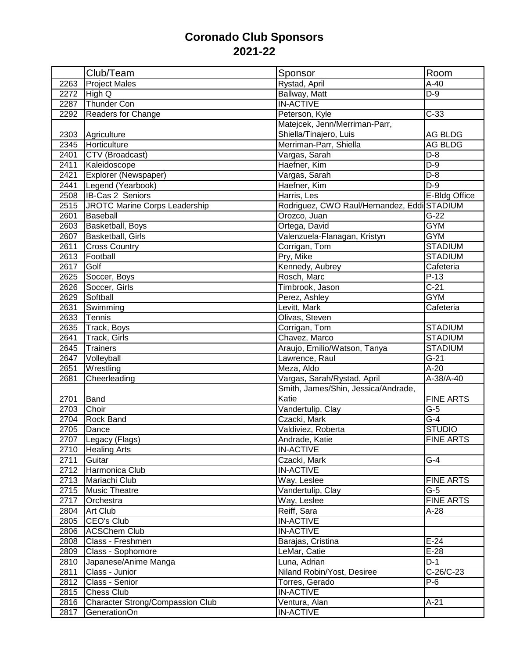## **Coronado Club Sponsors 2021-22**

|      | Club/Team                                        | Sponsor                                     | Room               |
|------|--------------------------------------------------|---------------------------------------------|--------------------|
| 2263 | <b>Project Males</b>                             | Rystad, April                               | $A-40$             |
| 2272 | High Q                                           | Ballway, Matt                               | $D-9$              |
| 2287 | Thunder Con                                      | <b>IN-ACTIVE</b>                            |                    |
| 2292 | Readers for Change                               | Peterson, Kyle                              | $C-33$             |
|      |                                                  | Matejcek, Jenn/Merriman-Parr,               |                    |
| 2303 | Agriculture                                      | Shiella/Tinajero, Luis                      | AG BLDG            |
| 2345 | Horticulture                                     | Merriman-Parr, Shiella                      | AG BLDG            |
| 2401 | CTV (Broadcast)                                  | Vargas, Sarah                               | $D-8$              |
| 2411 | Kaleidoscope                                     | Haefner, Kim                                | $\overline{D-9}$   |
| 2421 | Explorer (Newspaper)                             | Vargas, Sarah                               | $D-8$              |
| 2441 | Legend (Yearbook)                                | Haefner, Kim                                | $D-9$              |
| 2508 | <b>IB-Cas 2 Seniors</b>                          | Harris, Les                                 | E-Bldg Office      |
| 2515 | JROTC Marine Corps Leadership                    | Rodriguez, CWO Raul/Hernandez, Eddi STADIUM |                    |
| 2601 | Baseball                                         | Orozco, Juan                                | $\overline{G}$ -22 |
| 2603 | Basketball, Boys                                 | Ortega, David                               | <b>GYM</b>         |
| 2607 | Basketball, Girls                                | Valenzuela-Flanagan, Kristyn                | <b>GYM</b>         |
| 2611 | <b>Cross Country</b>                             | Corrigan, Tom                               | <b>STADIUM</b>     |
| 2613 | Football                                         | Pry, Mike                                   | <b>STADIUM</b>     |
| 2617 | Golf                                             | Kennedy, Aubrey                             | Cafeteria          |
| 2625 | Soccer, Boys                                     | Rosch, Marc                                 | $P-13$             |
| 2626 | Soccer, Girls                                    | Timbrook, Jason                             | $C-21$             |
| 2629 | Softball                                         | Perez, Ashley                               | <b>GYM</b>         |
| 2631 | Swimming                                         | Levitt, Mark                                | Cafeteria          |
| 2633 | Tennis                                           | Olivas, Steven                              |                    |
| 2635 | Track, Boys                                      | Corrigan, Tom                               | <b>STADIUM</b>     |
| 2641 | Track, Girls                                     | Chavez, Marco                               | <b>STADIUM</b>     |
| 2645 | Trainers                                         | Araujo, Emilio/Watson, Tanya                | <b>STADIUM</b>     |
| 2647 | Volleyball                                       | Lawrence, Raul                              | $\overline{G-21}$  |
| 2651 | Wrestling                                        | Meza, Aldo                                  | $A-20$             |
| 2681 | Cheerleading                                     | Vargas, Sarah/Rystad, April                 | A-38/A-40          |
|      |                                                  | Smith, James/Shin, Jessica/Andrade,         |                    |
| 2701 | Band                                             | Katie                                       | <b>FINE ARTS</b>   |
| 2703 | Choir                                            | Vandertulip, Clay                           | $G-5$              |
| 2704 | <b>Rock Band</b>                                 | Czacki, Mark                                | $G-4$              |
| 2705 | Dance                                            | Valdiviez, Roberta                          | <b>STUDIO</b>      |
|      | 2707 Legacy (Flags)                              | Andrade, Katie                              | <b>FINE ARTS</b>   |
| 2710 | <b>Healing Arts</b>                              | <b>IN-ACTIVE</b>                            |                    |
| 2711 | Guitar                                           | Czacki, Mark                                | $G-4$              |
| 2712 | Harmonica Club                                   | <b>IN-ACTIVE</b>                            |                    |
| 2713 | Mariachi Club                                    | Way, Leslee                                 | <b>FINE ARTS</b>   |
| 2715 | <b>Music Theatre</b>                             | Vandertulip, Clay                           | $G-5$              |
| 2717 | Orchestra                                        | Way, Leslee                                 | <b>FINE ARTS</b>   |
| 2804 | <b>Art Club</b>                                  | Reiff, Sara                                 | $A-28$             |
| 2805 | CEO's Club                                       | <b>IN-ACTIVE</b>                            |                    |
| 2806 | <b>ACSChem Club</b>                              | <b>IN-ACTIVE</b>                            |                    |
| 2808 | Class - Freshmen                                 | Barajas, Cristina                           | $E-24$             |
| 2809 | Class - Sophomore                                | LeMar, Catie                                | $E-28$             |
| 2810 | Japanese/Anime Manga                             | Luna, Adrian                                | $D-1$              |
| 2811 | Class - Junior                                   | Niland Robin/Yost, Desiree                  | C-26/C-23          |
| 2812 | Class - Senior                                   | Torres, Gerado                              | $P-6$              |
| 2815 | <b>Chess Club</b>                                | <b>IN-ACTIVE</b>                            |                    |
| 2816 |                                                  |                                             |                    |
|      |                                                  |                                             |                    |
| 2817 | Character Strong/Compassion Club<br>GenerationOn | Ventura, Alan<br><b>IN-ACTIVE</b>           | $A-21$             |